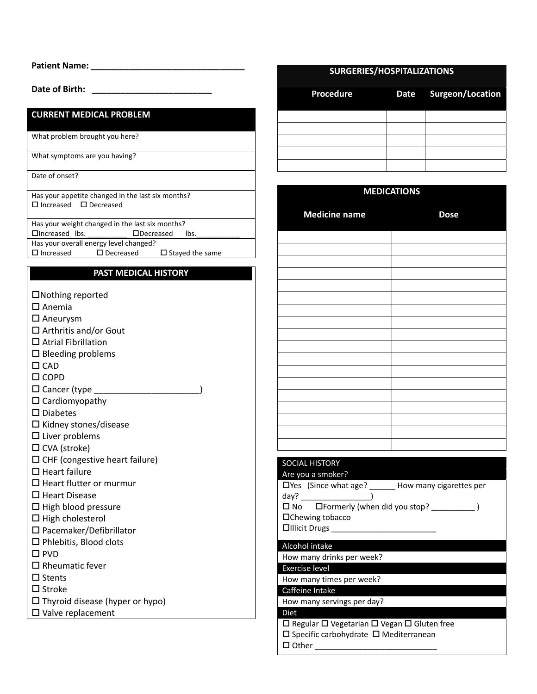| <b>Patient Name:</b> |  |  |  |  |
|----------------------|--|--|--|--|
|                      |  |  |  |  |

**Date of Birth: \_\_\_\_\_\_\_\_\_\_\_\_\_\_\_\_\_\_\_\_\_\_\_\_\_**

### **CURRENT MEDICAL PROBLEM**

What problem brought you here?

What symptoms are you having?

Date of onset?

Has your appetite changed in the last six months?  $\square$  Increased  $\square$  Decreased

Has your weight changed in the last six months?

Increased lbs. \_\_\_\_\_\_\_\_\_\_ Decreased lbs.\_\_\_\_\_\_\_\_\_\_\_

Has your overall energy level changed?

 $\square$  Increased  $\square$  Decreased  $\square$  Stayed the same

# **PAST MEDICAL HISTORY**

- Nothing reported
- $\square$  Anemia
- □ Aneurysm
- $\Box$  Arthritis and/or Gout
- □ Atrial Fibrillation
- $\square$  Bleeding problems
- $\Box$ CAD
- □ COPD
- $\square$  Cancer (type  $\square$
- $\square$  Cardiomyopathy
- □ Diabetes
- $\square$  Kidney stones/disease
- $\square$  Liver problems
- $\square$  CVA (stroke)
- $\square$  CHF (congestive heart failure)
- $\Box$  Heart failure
- $\Box$  Heart flutter or murmur
- $\square$  Heart Disease
- $\Box$  High blood pressure
- $\Box$  High cholesterol
- □ Pacemaker/Defibrillator
- □ Phlebitis, Blood clots
- $\square$  PVD
- $\square$  Rheumatic fever
- $\square$  Stents
- $\square$  Stroke
- $\square$  Thyroid disease (hyper or hypo)
- □ Valve replacement

### **SURGERIES/HOSPITALIZATIONS**

| <b>Procedure</b> | Date Surgeon/Location |
|------------------|-----------------------|
|                  |                       |
|                  |                       |
|                  |                       |
|                  |                       |
|                  |                       |

### **MEDICATIONS**

| <b>Medicine name</b> | <b>Dose</b> |
|----------------------|-------------|
|                      |             |
|                      |             |
|                      |             |
|                      |             |
|                      |             |
|                      |             |
|                      |             |
|                      |             |
|                      |             |
|                      |             |
|                      |             |
|                      |             |
|                      |             |
|                      |             |
|                      |             |
|                      |             |
|                      |             |
|                      |             |
|                      |             |

### SOCIAL HISTORY Are you a smoker? Yes (Since what age? \_\_\_\_\_\_ How many cigarettes per

| <b>Let the Council of the Council Council Council Council Council Council Council Council Council Council Council</b> |  |
|-----------------------------------------------------------------------------------------------------------------------|--|
| day?                                                                                                                  |  |
| $\square$ No $\square$ Formerly (when did you stop?                                                                   |  |
| $\Box$ Chewing tobacco                                                                                                |  |
| $\Box$ Illicit Drugs                                                                                                  |  |
|                                                                                                                       |  |
| Alcohol intake                                                                                                        |  |

How many drinks per week?

Exercise level

How many times per week?

Caffeine Intake

# How many servings per day?

# Diet

- $\square$  Regular  $\square$  Vegetarian  $\square$  Vegan  $\square$  Gluten free
- $\square$  Specific carbohydrate  $\square$  Mediterranean
- $\Box$  Other